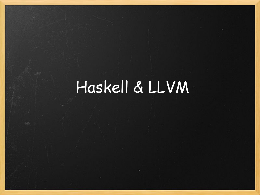# Haskell & LLVM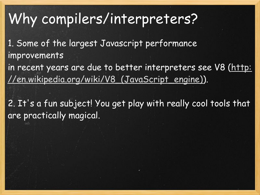## Why compilers/interpreters?

1. Some of the largest Javascript performance improvements

in recent years are due to better interpreters see V8 ([http:](http://en.wikipedia.org/wiki/V8_(JavaScript_engine)) [//en.wikipedia.org/wiki/V8\\_\(JavaScript\\_engine\)\)](http://en.wikipedia.org/wiki/V8_(JavaScript_engine)).

2. It's a fun subject! You get play with really cool tools that are practically magical.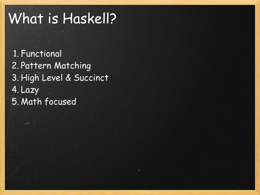## What is Haskell?

1. Functional 2. Pattern Matching 3. High Level & Succinct 4. Lazy 5. Math focused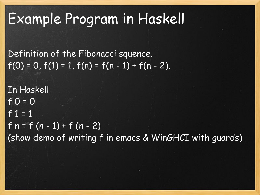## Example Program in Haskell

Definition of the Fibonacci squence.  $f(0) = 0, f(1) = 1, f(n) = f(n - 1) + f(n - 2).$ 

In Haskell  $f 0 = 0$ f  $1 = 1$ f  $n = f(n - 1) + f(n - 2)$ (show demo of writing f in emacs & WinGHCI with guards)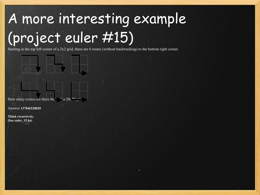# A more interesting example (project euler #15)

Starting in the top left corner of a 2x2 grid, there are 6 routes (without backtracking) to the bottom right corner.



Answer **137846528820**

**Think recursively. (See euler\_15.hs)**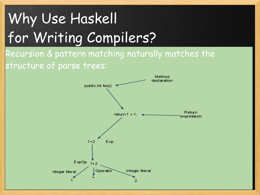# Why Use Haskell for Writing Compilers?

Recursion & pattern matching naturally matches the structure of parse trees:

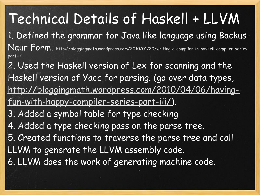Technical Details of Haskell + LLVM 1. Defined the grammar for Java like language using Backus-Naur Form. [http://bloggingmath.wordpress.com/2010/01/20/writing-a-compiler-in-haskell-compiler-series](http://bloggingmath.wordpress.com/2010/01/20/writing-a-compiler-in-haskell-compiler-series-part-i/)[part-i/](http://bloggingmath.wordpress.com/2010/01/20/writing-a-compiler-in-haskell-compiler-series-part-i/) 2. Used the Haskell version of Lex for scanning and the Haskell version of Yacc for parsing. (go over data types, [http://bloggingmath.wordpress.com/2010/04/06/having](http://bloggingmath.wordpress.com/2010/04/06/having-fun-with-happy-compiler-series-part-iii/)[fun-with-happy-compiler-series-part-iii/\)](http://bloggingmath.wordpress.com/2010/04/06/having-fun-with-happy-compiler-series-part-iii/). 3. Added a symbol table for type checking 4. Added a type checking pass on the parse tree. 5. Created functions to traverse the parse tree and call LLVM to generate the LLVM assembly code. 6. LLVM does the work of generating machine code.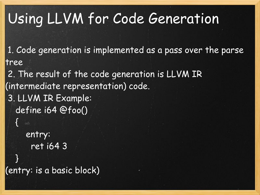## Using LLVM for Code Generation

 1. Code generation is implemented as a pass over the parse tree

 2. The result of the code generation is LLVM IR (intermediate representation) code. 3. LLVM IR Example: define i64 @foo()  $\vert$  entry: ret i64 3 } (entry: is a basic block)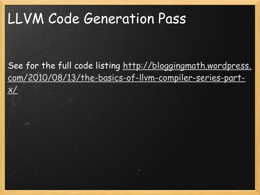## LLVM Code Generation Pass

 $\times/$ 

See for the full code listing [http://bloggingmath.wordpress.](http://bloggingmath.wordpress.com/2010/08/13/the-basics-of-llvm-compiler-series-part-x/) [com/2010/08/13/the-basics-of-llvm-compiler-series-part-](http://bloggingmath.wordpress.com/2010/08/13/the-basics-of-llvm-compiler-series-part-x/)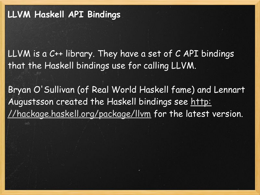LLVM is a C++ library. They have a set of C API bindings that the Haskell bindings use for calling LLVM.

Bryan O'Sullivan (of Real World Haskell fame) and Lennart Augustsson created the Haskell bindings see [http:](http://hackage.haskell.org/package/llvm) [//hackage.haskell.org/package/llvm](http://hackage.haskell.org/package/llvm) for the latest version.